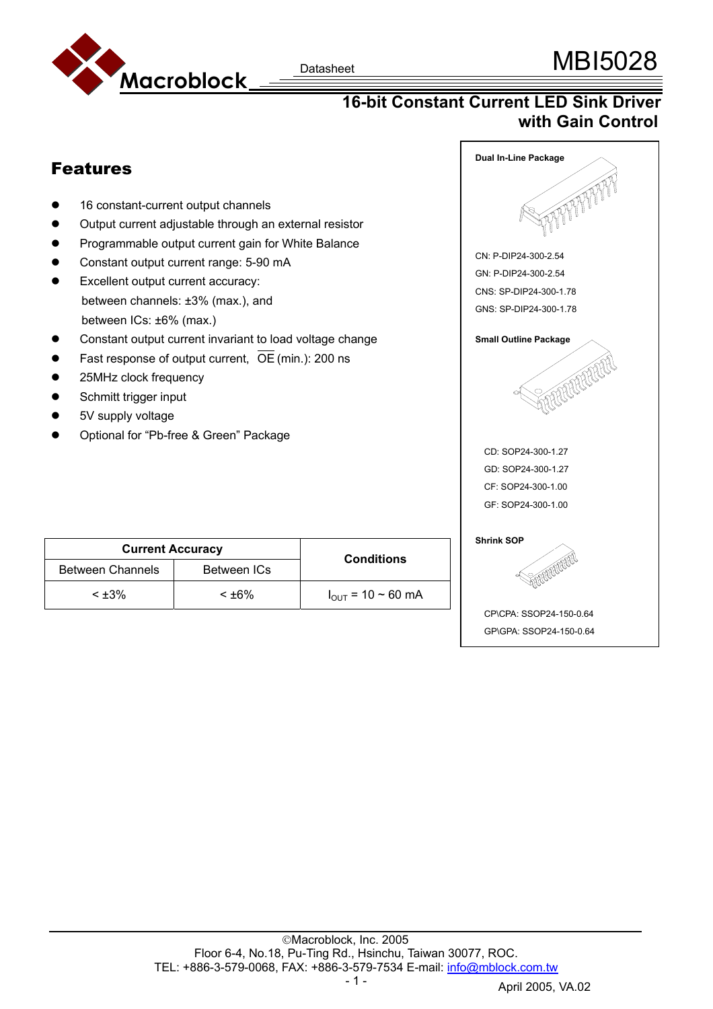

## **16-bit Constant Current LED Sink Driver with Gain Control**

**Dual In-Line Package** 

### Features 16 constant-current output channels Output current adjustable through an external resistor Programmable output current gain for White Balance CN: P-DIP24-300-2.54 Constant output current range: 5-90 mA GN: P-DIP24-300-2.54 • Excellent output current accuracy: CNS: SP-DIP24-300-1.78 between channels: ±3% (max.), and GNS: SP-DIP24-300-1.78 between ICs: ±6% (max.) • Constant output current invariant to load voltage change **Small Outline Package** Fast response of output current,  $\overline{OE}$  (min.): 200 ns FREEFEREE 25MHz clock frequency Schmitt trigger input 5V supply voltage Optional for "Pb-free & Green" Package CD: SOP24-300-1.27 GD: SOP24-300-1.27 CF: SOP24-300-1.00 GF: SOP24-300-1.00

| <b>Current Accuracy</b> |             | <b>Conditions</b>             |
|-------------------------|-------------|-------------------------------|
| <b>Between Channels</b> | Between ICs |                               |
| $< +3\%$                | $< +6\%$    | $I_{\text{OUT}}$ = 10 ~ 60 mA |



CP\CPA: SSOP24-150-0.64 GP\GPA: SSOP24-150-0.64